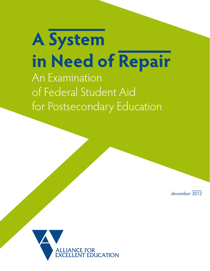**A System in Need of Repair** An Examination of Federal Student Aid for Postsecondary Education

december 2012

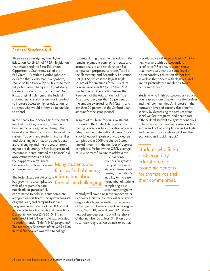**Federal Student Aid**

Three years after signing the Higher Education Act (HEA) of 1965—legislation that established the Basic Education Opportunity Grant (now called the Pell Grant)—President Lyndon Johnson declared that "every man, everywhere, should be free to develop his talents to their full potential—unhampered by arbitrary barriers of race or birth or income."1 As it was originally designed, the federal student financial aid system was intended to increase access to higher education for students who would otherwise be unable to attend.

In the nearly five decades since the enactment of the HEA, however, there have been numerous legislative changes that have altered the structure and focus of the system. Today, many students and families find obtaining information about federal aid challenging and the process of applying for aid daunting. In fact, last year nearly 750,000 students initiated the financial aid

֧֞֘

Many students and families find obtaining

application process but had their application returned because of insufficient data and never resubmitted.

The federal student aid system **information about** has grown into a complicated federal aid challenging. web of programs that are not clearly or purposefully

coordinated to help students complete a degree or certificate. The system consists of grant, loan, and campus-based aid programs under Title IV of the HEA, as well as several federal tax credits and deductions. During School Year (SY) 2010–11, an estimated \$169 billion in aid was awarded to students under Title IV HEA programs.<sup>2</sup> This represents 72 percent of the \$235 billion in total financial aid awarded to college

students during the same period, with the remaining amount coming from state and institutional aid and scholarships.3 For comparison purposes, consider Title I of the Elementary and Secondary Education Act (ESEA), which is the largest single source of federal funds for K–12 education: in Fiscal Year (FY) 2012, the ESEA was funded at \$14.5 billion4 —less than 9 percent of the total amount of Title IV aid awarded, less than 50 percent of the amount awarded for Pell Grants, and less than 20 percent of the Stafford Loan amount for the same period.

In spite of this huge federal investment, students in the United States are completing postsecondary education at lower rates than their international peers. Once a world leader in postsecondary degree completion, in 2009 the United States ranked fifteenth in the number of degrees completed, far below the OECD average of 38.6 percent.<sup>5</sup> Failure to address this

> issue has consequences far greater than just the United States's international ranking. The nation's inability to increase the number of students completing postsecondary programs

of study will have a negative impact on its economy. First, the country will face severe degree shortages: as Anthony Carnevale of Georgetown University and his colleagues write, "By 2018, we will need 22 million new college degrees—but will fall short of that number by at least 3 million postsecondary degrees, Associate's or better.

I

In addition, we will need at least 4.7 million new workers with postsecondary certificates."<sup>6</sup> Second, research shows that individuals without some level of postsecondary education do not fare as well as their peers with degrees, and are hit particularly hard during tough economic times.7

Students who finish postsecondary education reap economic benefits for themselves and their communities. An increase in the education levels of citizens also benefits society by decreasing the costs of crime, social welfare programs, and health care. If the federal student aid system continues to focus only on increased postsecondary access and not on completion, individuals and the country as a whole will bear the economic and social impact.<sup>8</sup>

j Students who finish postsecondary education reap economic benefits for themselves and their communities.

֧֞֝֬֝֬֝֬֝֬֝֬

Alliance for Excellent Education A System in Need of Repair  $\overline{01}$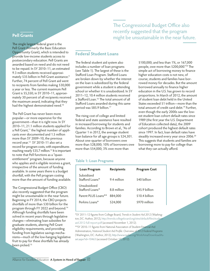### **Pell Grants**

The single largest federal grant is the Pell Grant (formerly the Basic Education Opportunity Grant), which is intended to provide low-income students access to postsecondary education. Pell Grants are awarded based on need and do not need to be repaid. In SY 2010–11, an estimated 9.3 million students received approximately \$35 billion in Pell Grant assistance.<sup>9</sup> Further, 74 percent of Pell Grant aid went to recipients from families making \$30,000 a year or less. The current maximum Pell Grant is \$5,550; in SY 2010–11, approximately 30 percent of all recipients received the maximum award, indicating that they had the highest demonstrated need.<sup>10</sup>

The Pell Grant has never been more popular—or more expensive for the government—than it is right now. In SY 2010–11, 21.1 million students applied for a Pell Grant,<sup>11</sup> the highest number of applicants ever documented and 1.5 million more than SY 2009–10, the previous record year.12 SY 2010–11 also set a record for program costs, with expenditures reaching nearly \$35.7 million.<sup>13</sup> It is important to note that Pell functions as a "quasientitlement" program, because anyone who applies and is eligible receives a grant, irrespective of the amount of funding available. In some years there is a budget shortfall, with the Pell program costing more than the amount of funding available.

The Congressional Budget Office (CBO) also recently suggested that the program might be unsustainable in the near future. Beginning in FY 2014, the CBO projects shortfalls of more than \$30 billion for the program through FY 2022 and beyond.14 Although funding shortfalls have been solved in recent years through legislative changes—eliminating loan subsidies for graduate students, altering Pell Grant eligibility requirements, and providing funding from legislative savings mechanisms—much of the low-hanging legislative fruit to pay for these shortfalls has already been picked.<sup>15</sup>

l, The Congressional Budget Office also recently suggested that the program might be unsustainable in the near future.

# **Federal Student Loans**

The federal student aid system also includes a number of loan programs (see Table 1). The largest of these is the Stafford Loan Program. Stafford Loans are broken down by whether the interest on the loan is subsidized by the federal government while a student is attending school or whether it is unsubsidized. In SY 2011–12, 10.4 million students received a Stafford Loan.<sup>16</sup> The total amount of all Stafford Loans awarded during this same period was \$85.9 billion.17

The rising cost of college and limited federal and state assistance have resulted in increased borrowing for students and families. According to Brown et al., "As of Quarter 1 in 2012, the average student loan balance for all age groups is \$24,301. About one-quarter of borrowers owe more than \$28,000; 10% of borrowers owe more than \$54,000; 3% owe more than

\$100,000; and less than 1%, or 167,000 people, owe more than \$200,000."18 The simple act of borrowing money to finance higher education costs is not new, of course; students and families have borrowed money for decades. But the amount borrowed annually to finance higher education in the U.S. has grown to record proportions. In March of 2012, the amount of student loan debt held in the United States exceeded \$1 trillion—more than the total amount of credit card debt.<sup>19</sup> Further, even though the early 2000s saw the lowest student loan cohort default rates since 1989 (the first year the U.S. Department of Education collected data), the 2009 cohort produced the highest default rates since 1997. In fact, loan default rates have steadily increased every year since 2006.<sup>20</sup> This suggests that students and families are borrowing more to pay for college than what they can actually afford.

I

### **Table 1: Loan Programs**

| Loan Program                    | <b>Recipients</b> | <b>Program Cost</b> |
|---------------------------------|-------------------|---------------------|
| Subsidized<br>Stafford Loans*   | 94 million        | \$40 billion        |
| Unsubsidized<br>Stafford Loans* | 8.8 million       | \$45.9 billion      |
| Parent PLUS Loans**             | 884,000           | $$10.4$ billion     |
| Perkins Loans*                  | 524,000           | \$970 million       |
|                                 |                   |                     |

\*SY 2011–12 figures from College Board, *Trends in Student Aid 2012* (Washington, DC: Author, 2012), http://trends.collegeboard.org/sites/default/files/studen [aid-2012-full-report.pdf](http://trends.collegeboard.org/sites/default/files/student-aid-2012-full-report.pdf) (accessed November 1, 2012).

\*\*SY 2010–11 figures from National Association of Student Financial Aid Administrators, *National Student Aid Profile: Overview of 2012 Federal Programs*  (Washington, DC: Author, 2012), [http://www.nasfaa.org/WorkArea/DownloadAs](http://www.nasfaa.org/WorkArea/DownloadAsset.aspx?id=10463)[set.aspx?id=10463](http://www.nasfaa.org/WorkArea/DownloadAsset.aspx?id=10463) (accessed October 17, 2012).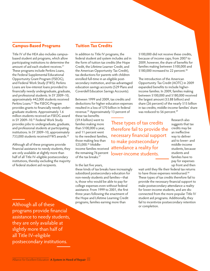# **Campus-Based Programs**

Title IV of the HEA also includes campusbased student aid programs, which allow participating institutions to determine the amount of aid each student receives.<sup>21</sup> These programs include Perkins Loans, the Federal Supplemental Educational Opportunity Grant Program (FSEOG), and Federal Work Study (FWS). Perkins Loans are low-interest loans provided to financially needy undergraduate, graduate, and professional students. In SY 2009–10, approximately 442,000 students received Perkins Loans.<sup>22</sup> The FSEOG Program provides grants to financially needy undergraduate students. Approximately 1.6 million students received an FSEOG award in SY 2009–10.23 Federal Work Study provides jobs to undergraduate, graduate, and professional students at participating institutions. In SY 2009–10, approximately 733,000 students received FWS awards.<sup>24</sup>

Although all of these programs provide financial assistance to needy students, they are only available at slightly more than half of all Title IV–eligible postsecondary institutions, thereby excluding the majority of federal student aid recipients.

Ī Although all of these programs provide financial assistance to needy students, they are only available at slightly more than half of all Title IV–eligible postsecondary institutions.

## **Tuition Tax Credits**

In addition to Title IV programs, the federal student aid system includes aid in the form of tuition tax credits (the Hope Credit, the Lifetime Learner Credit, and the American Opportunity Tax Credit), tax deductions for parents with children enrolled full-time in an eligible postsecondary institution, and tax-advantaged education savings accounts (529 Plans and Coverdell Education Savings Accounts).

Between 1999 and 2009, tax credits and deductions for higher education expenses resulted in a loss of \$70 billion in federal revenue.<sup>25</sup> Approximately 13 percent of

these tax benefits (\$9.4 billion) went to families making more than \$100,000 a year, and 11 percent went to the neediest families, those making less than \$25,000.<sup>26</sup> Middlethe remaining 76 percent of the tax breaks.<sup>27</sup>

In the last five years,

these kinds of tax breaks have increasingly subsidized postsecondary education for non-needy students and families—that is, those who would be able to pay for college expenses even without federal assistance. From 1999 to 2001, the first three years following the enactment of the Hope and Lifetime Learning Credit programs, families earning more than

\$100,000 did not receive these credits, because of income caps; from 2007 to 2009, however, the share of benefits for families making between \$100,000 and \$180,000 increased to 22 percent.<sup>28</sup>

The introduction of the American Opportunity Tax Credit (AOTC) in 2009 expanded benefits to include higherincome families. In 2009, families making between \$100,000 and \$180,000 received the largest amount (\$3.88 billion) and share (26 percent) of the nearly \$15 billion in tax credits; middle-income families' share was reduced to 56 percent.<sup>29</sup>

income families received attendance a reality for ֚֚֬ These types of tax credits therefore fail to provide the necessary financial support to make postsecondary lower-income students. I

Research also suggests that tax credits may be an ineffective way to deliver aid to lower- and middle-income students, because students and families have to pay for expenses up front and then

wait until they file their federal tax returns to have those expenses reimbursed.<sup>30</sup> These types of tax credits therefore fail to provide the necessary financial support to make postsecondary attendance a reality for lower-income students, and are disconnected from the more popular Title IV student aid programs. Additionally, they fail to incentivize postsecondary retention or completion.

İ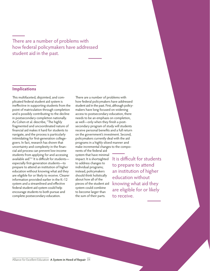l<br>. There are a number of problems with how federal policymakers have addressed student aid in the past.

### **Implications**

This multifaceted, disjointed, and complicated federal student aid system is ineffective in supporting students from the point of matriculation through completion and is possibly contributing to the decline in postsecondary completion nationally. As Cohen et al. describe, "The highly fragmented and uncoordinated nature of financial aid makes it hard for students to navigate, and the process is particularly intimidating for first-generation collegegoers. In fact, research has shown that uncertainty and complexity in the financial aid process can prevent low-income students from applying for and accessing available aid."<sup>31</sup> It is difficult for studentsespecially first-generation students—to prepare to attend an institution of higher education without knowing what aid they are eligible for or likely to receive. Clearer information provided earlier in the K–12 system and a streamlined and effective federal student aid system could help encourage students to both pursue and complete postsecondary education.

There are a number of problems with how federal policymakers have addressed student aid in the past. First, although policymakers have long focused on widening access to postsecondary education, there needs to be an emphasis on completion, as well—only when they finish a postsecondary program of study will students receive personal benefits and a full return on the government's investment. Second, policymakers currently deal with the aid programs in a highly siloed manner and make incremental changes to the compo-

nents of the federal aid system that have minimal impact. It is shortsighted to address changes to individual programs; instead, policymakers should think holistically about how all of the pieces of the student aid system could combine to become larger than the sum of their parts.

j

j It is difficult for students to prepare to attend an institution of higher education without knowing what aid they are eligible for or likely to receive.

I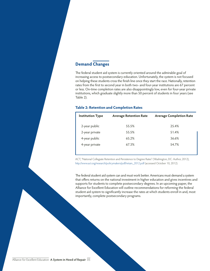## **Demand Changes**

The federal student aid system is currently oriented around the admirable goal of increasing access to postsecondary education. Unfortunately, the system is not focused on helping these students cross the finish line once they start the race. Nationally, retention rates from the first to second year in both two- and four-year institutions are 67 percent or less. On-time completion rates are also disappointingly low, even for four-year private institutions, which graduate slightly more than 50 percent of students in four years (see Table 2).

### **Table 2: Retention and Completion Rates**

| <b>Institution Type</b> | <b>Average Retention Rate</b> | <b>Average Completion Rate</b> |
|-------------------------|-------------------------------|--------------------------------|
| 2-year public           | 55.5%                         | 25.4%                          |
| 2-year private          | 55.5%                         | 51.4%                          |
| 4-year public           | 65.2%                         | 36.6%                          |
| 4-year private          | 67.3%                         | 54.7%                          |
|                         |                               |                                |

ACT, "National Collegiate Retention and Persistence to Degree Rates" (Washington, DC: Author, 2012), [http://www.act.org/research/policymakers/pdf/retain\\_2012.pdf](http://www.act.org/research/policymakers/pdf/retain_2012.pdf) (accessed October 10, 2012).

The federal student aid system can and must work better. Americans must demand a system that offers returns on the national investment in higher education and gives incentives and supports for students to complete postsecondary degrees. In an upcoming paper, the Alliance for Excellent Education will outline recommendations for reforming the federal student aid system to significantly increase the rates at which students enroll in and, most importantly, complete postsecondary programs.